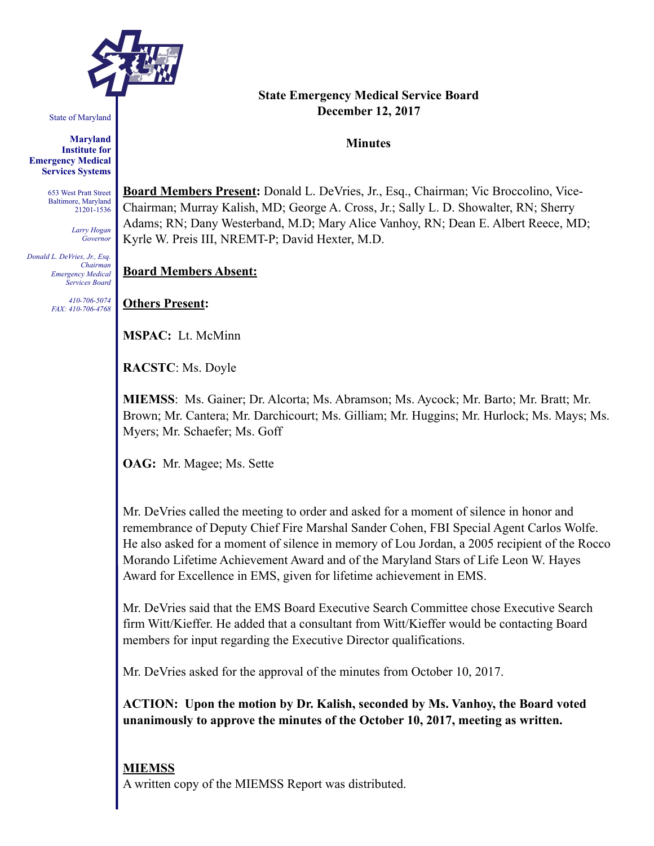

State of Maryland

**Maryland Institute for Emergency Medical Services Systems** 

> 653 West Pratt Street Baltimore, Maryland 21201-1536

> > *Larry Hogan Governor*

*Donald L. DeVries, Jr., Esq. Chairman Emergency Medical Services Board* 

> *410-706-5074 FAX: 410-706-4768*

### **State Emergency Medical Service Board December 12, 2017**

**Minutes** 

**Board Members Present:** Donald L. DeVries, Jr., Esq., Chairman; Vic Broccolino, Vice-Chairman; Murray Kalish, MD; George A. Cross, Jr.; Sally L. D. Showalter, RN; Sherry Adams; RN; Dany Westerband, M.D; Mary Alice Vanhoy, RN; Dean E. Albert Reece, MD; Kyrle W. Preis III, NREMT-P; David Hexter, M.D.

**Board Members Absent:**

**Others Present:** 

**MSPAC:** Lt. McMinn

**RACSTC**: Ms. Doyle

**MIEMSS**: Ms. Gainer; Dr. Alcorta; Ms. Abramson; Ms. Aycock; Mr. Barto; Mr. Bratt; Mr. Brown; Mr. Cantera; Mr. Darchicourt; Ms. Gilliam; Mr. Huggins; Mr. Hurlock; Ms. Mays; Ms. Myers; Mr. Schaefer; Ms. Goff

**OAG:** Mr. Magee; Ms. Sette

Mr. DeVries called the meeting to order and asked for a moment of silence in honor and remembrance of Deputy Chief Fire Marshal Sander Cohen, FBI Special Agent Carlos Wolfe. He also asked for a moment of silence in memory of Lou Jordan, a 2005 recipient of the Rocco Morando Lifetime Achievement Award and of the Maryland Stars of Life Leon W. Hayes Award for Excellence in EMS, given for lifetime achievement in EMS.

Mr. DeVries said that the EMS Board Executive Search Committee chose Executive Search firm Witt/Kieffer. He added that a consultant from Witt/Kieffer would be contacting Board members for input regarding the Executive Director qualifications.

Mr. DeVries asked for the approval of the minutes from October 10, 2017.

**ACTION: Upon the motion by Dr. Kalish, seconded by Ms. Vanhoy, the Board voted unanimously to approve the minutes of the October 10, 2017, meeting as written.** 

## **MIEMSS**

A written copy of the MIEMSS Report was distributed.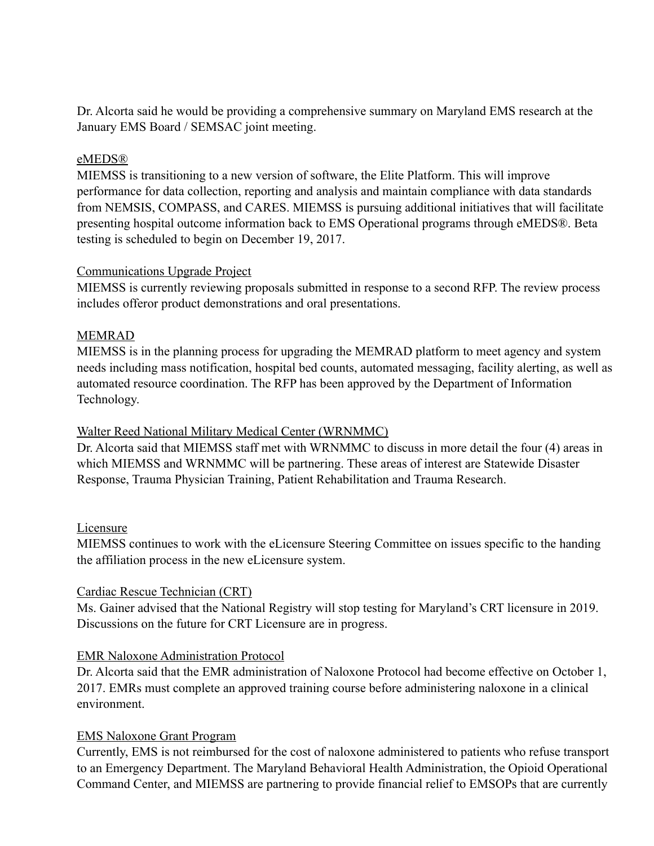Dr. Alcorta said he would be providing a comprehensive summary on Maryland EMS research at the January EMS Board / SEMSAC joint meeting.

### eMEDS®

MIEMSS is transitioning to a new version of software, the Elite Platform. This will improve performance for data collection, reporting and analysis and maintain compliance with data standards from NEMSIS, COMPASS, and CARES. MIEMSS is pursuing additional initiatives that will facilitate presenting hospital outcome information back to EMS Operational programs through eMEDS®. Beta testing is scheduled to begin on December 19, 2017.

### Communications Upgrade Project

MIEMSS is currently reviewing proposals submitted in response to a second RFP. The review process includes offeror product demonstrations and oral presentations.

## MEMRAD

MIEMSS is in the planning process for upgrading the MEMRAD platform to meet agency and system needs including mass notification, hospital bed counts, automated messaging, facility alerting, as well as automated resource coordination. The RFP has been approved by the Department of Information Technology.

## Walter Reed National Military Medical Center (WRNMMC)

Dr. Alcorta said that MIEMSS staff met with WRNMMC to discuss in more detail the four (4) areas in which MIEMSS and WRNMMC will be partnering. These areas of interest are Statewide Disaster Response, Trauma Physician Training, Patient Rehabilitation and Trauma Research.

### Licensure

MIEMSS continues to work with the eLicensure Steering Committee on issues specific to the handing the affiliation process in the new eLicensure system.

### Cardiac Rescue Technician (CRT)

Ms. Gainer advised that the National Registry will stop testing for Maryland's CRT licensure in 2019. Discussions on the future for CRT Licensure are in progress.

### EMR Naloxone Administration Protocol

Dr. Alcorta said that the EMR administration of Naloxone Protocol had become effective on October 1, 2017. EMRs must complete an approved training course before administering naloxone in a clinical environment.

### EMS Naloxone Grant Program

Currently, EMS is not reimbursed for the cost of naloxone administered to patients who refuse transport to an Emergency Department. The Maryland Behavioral Health Administration, the Opioid Operational Command Center, and MIEMSS are partnering to provide financial relief to EMSOPs that are currently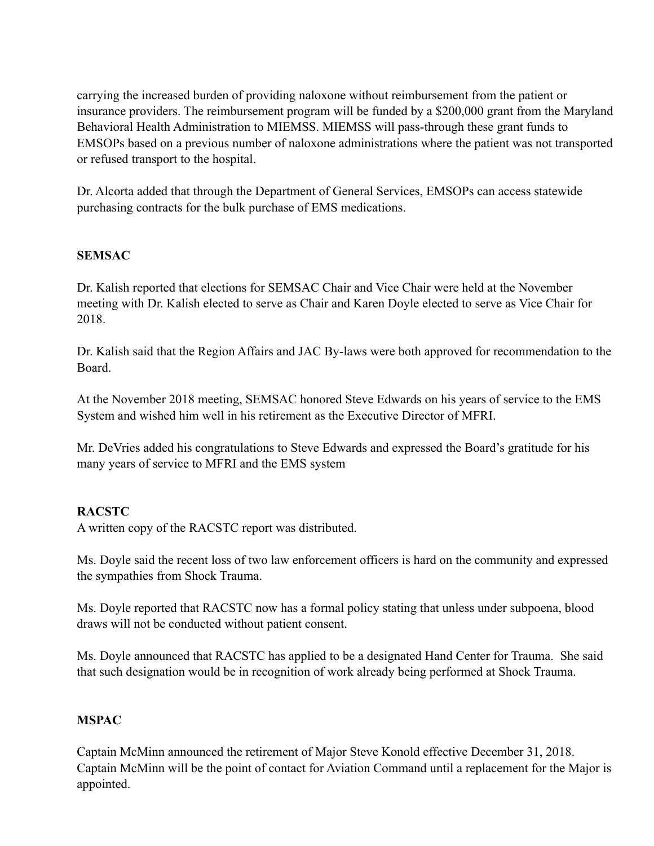carrying the increased burden of providing naloxone without reimbursement from the patient or insurance providers. The reimbursement program will be funded by a \$200,000 grant from the Maryland Behavioral Health Administration to MIEMSS. MIEMSS will pass-through these grant funds to EMSOPs based on a previous number of naloxone administrations where the patient was not transported or refused transport to the hospital.

Dr. Alcorta added that through the Department of General Services, EMSOPs can access statewide purchasing contracts for the bulk purchase of EMS medications.

## **SEMSAC**

Dr. Kalish reported that elections for SEMSAC Chair and Vice Chair were held at the November meeting with Dr. Kalish elected to serve as Chair and Karen Doyle elected to serve as Vice Chair for 2018.

Dr. Kalish said that the Region Affairs and JAC By-laws were both approved for recommendation to the Board.

At the November 2018 meeting, SEMSAC honored Steve Edwards on his years of service to the EMS System and wished him well in his retirement as the Executive Director of MFRI.

Mr. DeVries added his congratulations to Steve Edwards and expressed the Board's gratitude for his many years of service to MFRI and the EMS system

## **RACSTC**

A written copy of the RACSTC report was distributed.

Ms. Doyle said the recent loss of two law enforcement officers is hard on the community and expressed the sympathies from Shock Trauma.

Ms. Doyle reported that RACSTC now has a formal policy stating that unless under subpoena, blood draws will not be conducted without patient consent.

Ms. Doyle announced that RACSTC has applied to be a designated Hand Center for Trauma. She said that such designation would be in recognition of work already being performed at Shock Trauma.

### **MSPAC**

Captain McMinn announced the retirement of Major Steve Konold effective December 31, 2018. Captain McMinn will be the point of contact for Aviation Command until a replacement for the Major is appointed.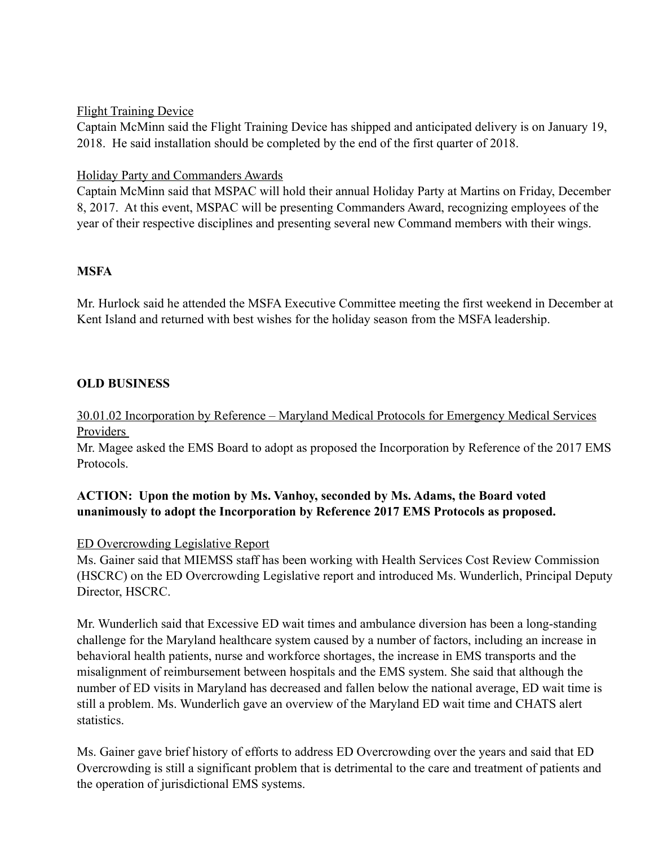## Flight Training Device

Captain McMinn said the Flight Training Device has shipped and anticipated delivery is on January 19, 2018. He said installation should be completed by the end of the first quarter of 2018.

## Holiday Party and Commanders Awards

Captain McMinn said that MSPAC will hold their annual Holiday Party at Martins on Friday, December 8, 2017. At this event, MSPAC will be presenting Commanders Award, recognizing employees of the year of their respective disciplines and presenting several new Command members with their wings.

## **MSFA**

Mr. Hurlock said he attended the MSFA Executive Committee meeting the first weekend in December at Kent Island and returned with best wishes for the holiday season from the MSFA leadership.

## **OLD BUSINESS**

## 30.01.02 Incorporation by Reference – Maryland Medical Protocols for Emergency Medical Services Providers

Mr. Magee asked the EMS Board to adopt as proposed the Incorporation by Reference of the 2017 EMS Protocols.

## **ACTION: Upon the motion by Ms. Vanhoy, seconded by Ms. Adams, the Board voted unanimously to adopt the Incorporation by Reference 2017 EMS Protocols as proposed.**

### ED Overcrowding Legislative Report

Ms. Gainer said that MIEMSS staff has been working with Health Services Cost Review Commission (HSCRC) on the ED Overcrowding Legislative report and introduced Ms. Wunderlich, Principal Deputy Director, HSCRC.

Mr. Wunderlich said that Excessive ED wait times and ambulance diversion has been a long-standing challenge for the Maryland healthcare system caused by a number of factors, including an increase in behavioral health patients, nurse and workforce shortages, the increase in EMS transports and the misalignment of reimbursement between hospitals and the EMS system. She said that although the number of ED visits in Maryland has decreased and fallen below the national average, ED wait time is still a problem. Ms. Wunderlich gave an overview of the Maryland ED wait time and CHATS alert statistics.

Ms. Gainer gave brief history of efforts to address ED Overcrowding over the years and said that ED Overcrowding is still a significant problem that is detrimental to the care and treatment of patients and the operation of jurisdictional EMS systems.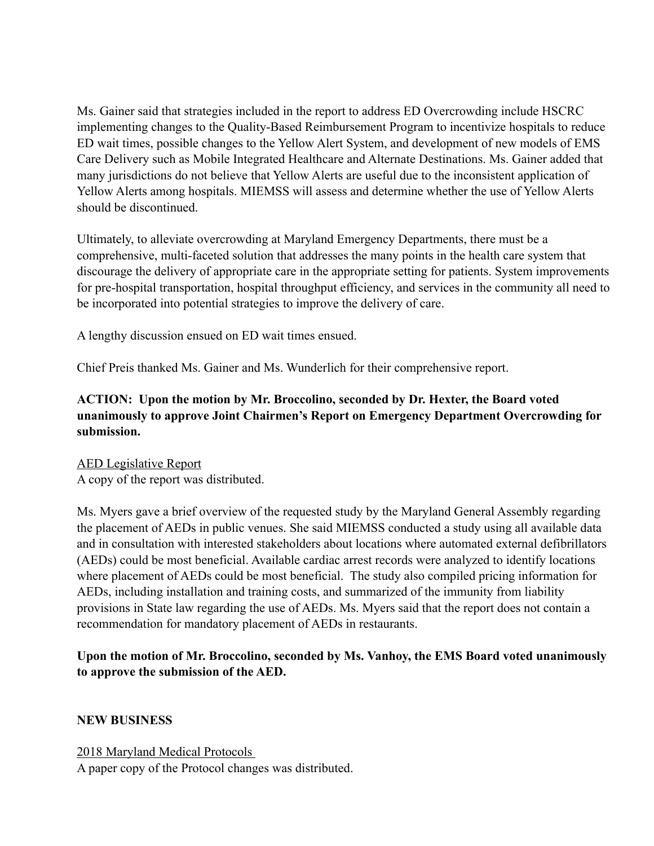Ms. Gainer said that strategies included in the report to address ED Overcrowding include HSCRC implementing changes to the Quality-Based Reimbursement Program to incentivize hospitals to reduce ED wait times, possible changes to the Yellow Alert System, and development of new models of EMS Care Delivery such as Mobile Integrated Healthcare and Alternate Destinations. Ms. Gainer added that many jurisdictions do not believe that Yellow Alerts are useful due to the inconsistent application of Yellow Alerts among hospitals. MIEMSS will assess and determine whether the use of Yellow Alerts should be discontinued.

Ultimately, to alleviate overcrowding at Maryland Emergency Departments, there must be a comprehensive, multi-faceted solution that addresses the many points in the health care system that discourage the delivery of appropriate care in the appropriate setting for patients. System improvements for pre-hospital transportation, hospital throughput efficiency, and services in the community all need to be incorporated into potential strategies to improve the delivery of care.

A lengthy discussion ensued on ED wait times ensued.

Chief Preis thanked Ms. Gainer and Ms. Wunderlich for their comprehensive report.

## **ACTION: Upon the motion by Mr. Broccolino, seconded by Dr. Hexter, the Board voted unanimously to approve Joint Chairmen's Report on Emergency Department Overcrowding for submission.**

AED Legislative Report A copy of the report was distributed.

Ms. Myers gave a brief overview of the requested study by the Maryland General Assembly regarding the placement of AEDs in public venues. She said MIEMSS conducted a study using all available data and in consultation with interested stakeholders about locations where automated external defibrillators (AEDs) could be most beneficial. Available cardiac arrest records were analyzed to identify locations where placement of AEDs could be most beneficial. The study also compiled pricing information for AEDs, including installation and training costs, and summarized of the immunity from liability provisions in State law regarding the use of AEDs. Ms. Myers said that the report does not contain a recommendation for mandatory placement of AEDs in restaurants.

## **Upon the motion of Mr. Broccolino, seconded by Ms. Vanhoy, the EMS Board voted unanimously to approve the submission of the AED.**

### **NEW BUSINESS**

2018 Maryland Medical Protocols A paper copy of the Protocol changes was distributed.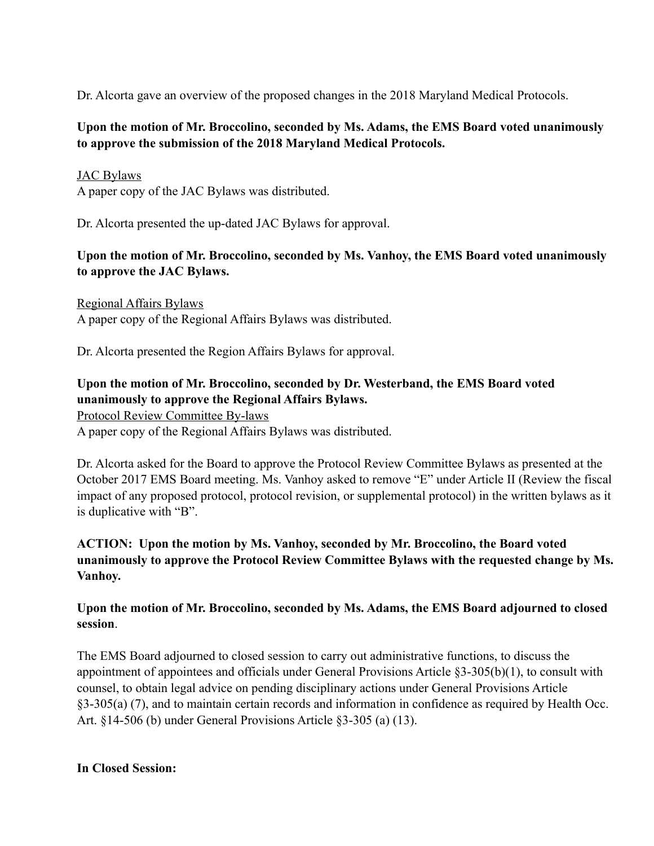Dr. Alcorta gave an overview of the proposed changes in the 2018 Maryland Medical Protocols.

## **Upon the motion of Mr. Broccolino, seconded by Ms. Adams, the EMS Board voted unanimously to approve the submission of the 2018 Maryland Medical Protocols.**

## JAC Bylaws

A paper copy of the JAC Bylaws was distributed.

Dr. Alcorta presented the up-dated JAC Bylaws for approval.

## **Upon the motion of Mr. Broccolino, seconded by Ms. Vanhoy, the EMS Board voted unanimously to approve the JAC Bylaws.**

Regional Affairs Bylaws A paper copy of the Regional Affairs Bylaws was distributed.

Dr. Alcorta presented the Region Affairs Bylaws for approval.

# **Upon the motion of Mr. Broccolino, seconded by Dr. Westerband, the EMS Board voted unanimously to approve the Regional Affairs Bylaws.**

Protocol Review Committee By-laws A paper copy of the Regional Affairs Bylaws was distributed.

Dr. Alcorta asked for the Board to approve the Protocol Review Committee Bylaws as presented at the October 2017 EMS Board meeting. Ms. Vanhoy asked to remove "E" under Article II (Review the fiscal impact of any proposed protocol, protocol revision, or supplemental protocol) in the written bylaws as it is duplicative with "B".

## **ACTION: Upon the motion by Ms. Vanhoy, seconded by Mr. Broccolino, the Board voted unanimously to approve the Protocol Review Committee Bylaws with the requested change by Ms. Vanhoy.**

## **Upon the motion of Mr. Broccolino, seconded by Ms. Adams, the EMS Board adjourned to closed session**.

The EMS Board adjourned to closed session to carry out administrative functions, to discuss the appointment of appointees and officials under General Provisions Article §3-305(b)(1), to consult with counsel, to obtain legal advice on pending disciplinary actions under General Provisions Article §3-305(a) (7), and to maintain certain records and information in confidence as required by Health Occ. Art. §14-506 (b) under General Provisions Article §3-305 (a) (13).

**In Closed Session:**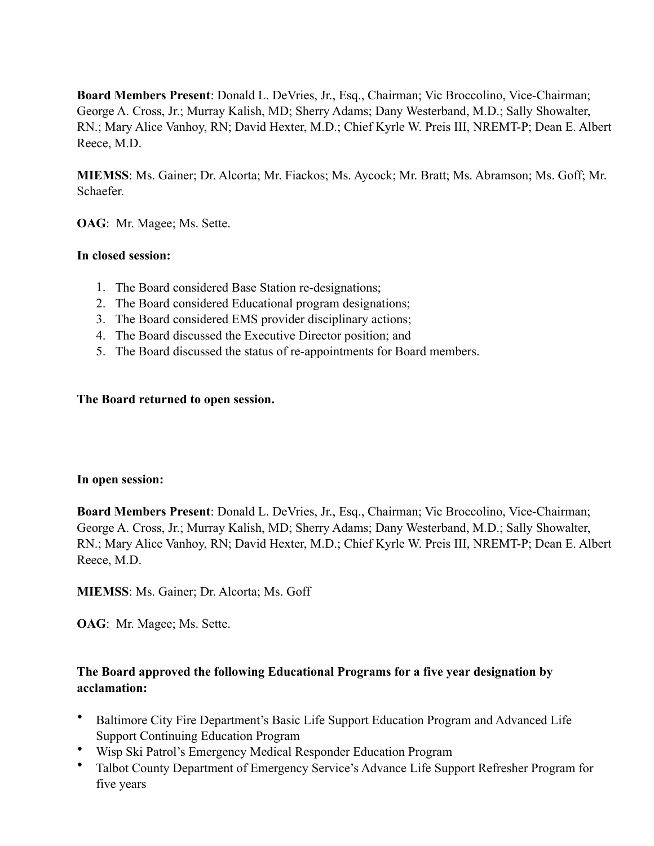**Board Members Present**: Donald L. DeVries, Jr., Esq., Chairman; Vic Broccolino, Vice-Chairman; George A. Cross, Jr.; Murray Kalish, MD; Sherry Adams; Dany Westerband, M.D.; Sally Showalter, RN.; Mary Alice Vanhoy, RN; David Hexter, M.D.; Chief Kyrle W. Preis III, NREMT-P; Dean E. Albert Reece, M.D.

**MIEMSS**: Ms. Gainer; Dr. Alcorta; Mr. Fiackos; Ms. Aycock; Mr. Bratt; Ms. Abramson; Ms. Goff; Mr. Schaefer.

**OAG**: Mr. Magee; Ms. Sette.

### **In closed session:**

- 1. The Board considered Base Station re-designations;
- 2. The Board considered Educational program designations;
- 3. The Board considered EMS provider disciplinary actions;
- 4. The Board discussed the Executive Director position; and
- 5. The Board discussed the status of re-appointments for Board members.

### **The Board returned to open session.**

#### **In open session:**

**Board Members Present**: Donald L. DeVries, Jr., Esq., Chairman; Vic Broccolino, Vice-Chairman; George A. Cross, Jr.; Murray Kalish, MD; Sherry Adams; Dany Westerband, M.D.; Sally Showalter, RN.; Mary Alice Vanhoy, RN; David Hexter, M.D.; Chief Kyrle W. Preis III, NREMT-P; Dean E. Albert Reece, M.D.

**MIEMSS**: Ms. Gainer; Dr. Alcorta; Ms. Goff

**OAG**: Mr. Magee; Ms. Sette.

## **The Board approved the following Educational Programs for a five year designation by acclamation:**

- Baltimore City Fire Department's Basic Life Support Education Program and Advanced Life Support Continuing Education Program
- Wisp Ski Patrol's Emergency Medical Responder Education Program
- Talbot County Department of Emergency Service's Advance Life Support Refresher Program for five years